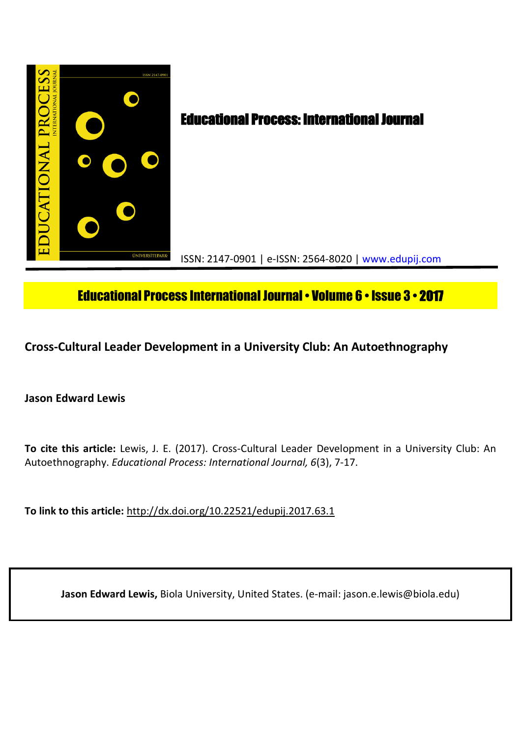

# Educational Process International Journal• Volume 6 • Issue 3 • **2017**

**Cross-Cultural Leader Development in a University Club: An Autoethnography**

**Jason Edward Lewis**

**To cite this article:** Lewis, J. E. (2017). Cross-Cultural Leader Development in a University Club: An Autoethnography. *Educational Process: International Journal, 6*(3), 7-17.

**To link to this article:** http://dx.doi.org/10.22521/edupij.2017.63.1

**Jason Edward Lewis,** Biola University, United States. (e-mail: jason.e.lewis@biola.edu)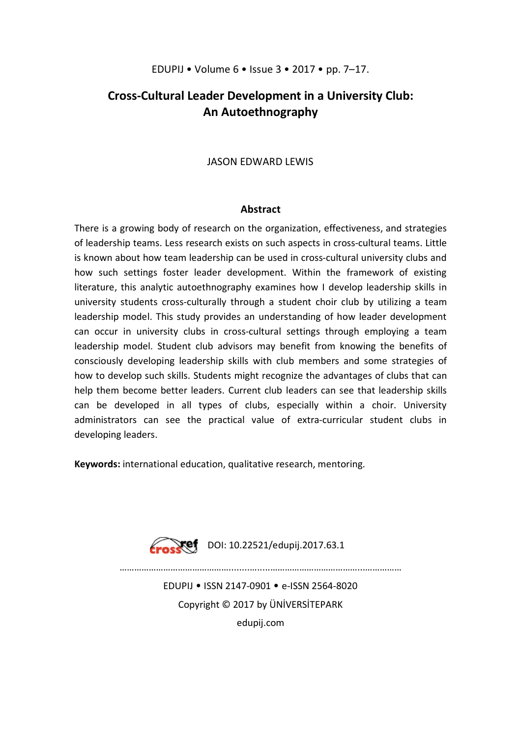## EDUPIJ • Volume 6 • Issue 3 • 2017 • pp. 7–17.

## **Cross-Cultural Leader Development in a University Club: An Autoethnography**

## JASON EDWARD LEWIS

## **Abstract**

There is a growing body of research on the organization, effectiveness, and strategies of leadership teams. Less research exists on such aspects in cross-cultural teams. Little is known about how team leadership can be used in cross-cultural university clubs and how such settings foster leader development. Within the framework of existing literature, this analytic autoethnography examines how I develop leadership skills in university students cross-culturally through a student choir club by utilizing a team leadership model. This study provides an understanding of how leader development can occur in university clubs in cross-cultural settings through employing a team leadership model. Student club advisors may benefit from knowing the benefits of consciously developing leadership skills with club members and some strategies of how to develop such skills. Students might recognize the advantages of clubs that can help them become better leaders. Current club leaders can see that leadership skills can be developed in all types of clubs, especially within a choir. University administrators can see the practical value of extra-curricular student clubs in developing leaders.

**Keywords:** international education, qualitative research, mentoring.



 $\sqrt{10}$ 

………………………………………........….....………………………………...……………

EDUPIJ • ISSN 2147-0901 • e-ISSN 2564-8020 Copyright © 2017 by ÜNİVERSİTEPARK edupij.com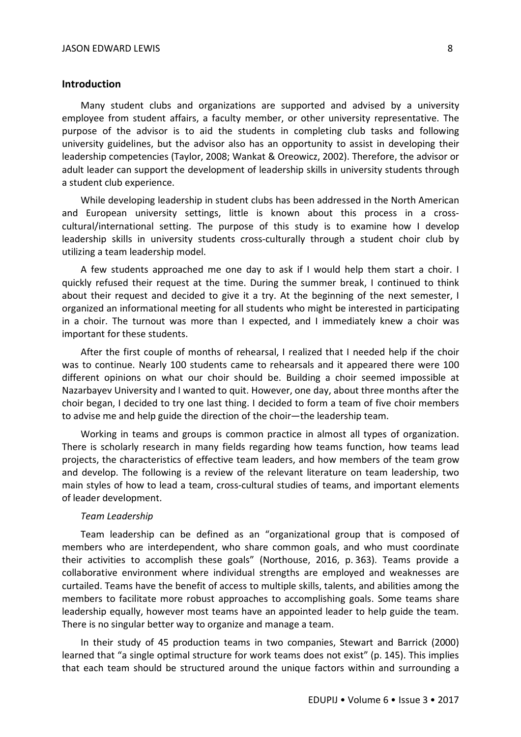## **Introduction**

Many student clubs and organizations are supported and advised by a university employee from student affairs, a faculty member, or other university representative. The purpose of the advisor is to aid the students in completing club tasks and following university guidelines, but the advisor also has an opportunity to assist in developing their leadership competencies (Taylor, 2008; Wankat & Oreowicz, 2002). Therefore, the advisor or adult leader can support the development of leadership skills in university students through a student club experience.

While developing leadership in student clubs has been addressed in the North American and European university settings, little is known about this process in a crosscultural/international setting. The purpose of this study is to examine how I develop leadership skills in university students cross-culturally through a student choir club by utilizing a team leadership model.

A few students approached me one day to ask if I would help them start a choir. I quickly refused their request at the time. During the summer break, I continued to think about their request and decided to give it a try. At the beginning of the next semester, I organized an informational meeting for all students who might be interested in participating in a choir. The turnout was more than I expected, and I immediately knew a choir was important for these students.

After the first couple of months of rehearsal, I realized that I needed help if the choir was to continue. Nearly 100 students came to rehearsals and it appeared there were 100 different opinions on what our choir should be. Building a choir seemed impossible at Nazarbayev University and I wanted to quit. However, one day, about three months after the choir began, I decided to try one last thing. I decided to form a team of five choir members to advise me and help guide the direction of the choir—the leadership team.

Working in teams and groups is common practice in almost all types of organization. There is scholarly research in many fields regarding how teams function, how teams lead projects, the characteristics of effective team leaders, and how members of the team grow and develop. The following is a review of the relevant literature on team leadership, two main styles of how to lead a team, cross-cultural studies of teams, and important elements of leader development.

#### *Team Leadership*

Team leadership can be defined as an "organizational group that is composed of members who are interdependent, who share common goals, and who must coordinate their activities to accomplish these goals" (Northouse, 2016, p. 363). Teams provide a collaborative environment where individual strengths are employed and weaknesses are curtailed. Teams have the benefit of access to multiple skills, talents, and abilities among the members to facilitate more robust approaches to accomplishing goals. Some teams share leadership equally, however most teams have an appointed leader to help guide the team. There is no singular better way to organize and manage a team.

In their study of 45 production teams in two companies, Stewart and Barrick (2000) learned that "a single optimal structure for work teams does not exist" (p. 145). This implies that each team should be structured around the unique factors within and surrounding a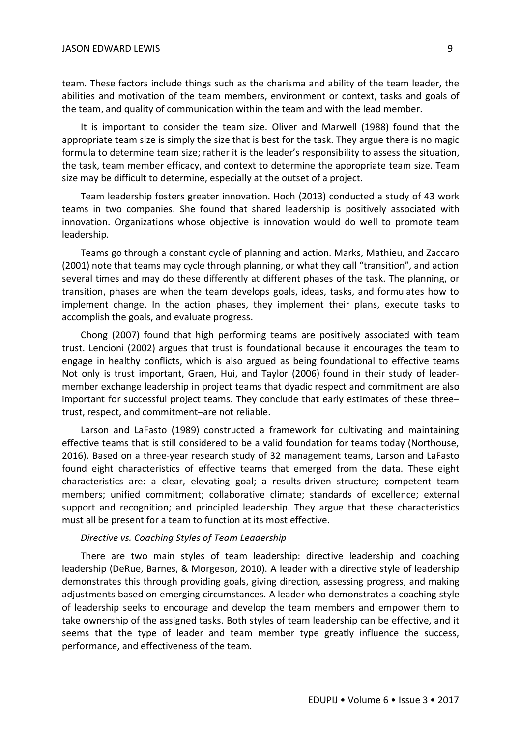team. These factors include things such as the charisma and ability of the team leader, the abilities and motivation of the team members, environment or context, tasks and goals of the team, and quality of communication within the team and with the lead member.

It is important to consider the team size. Oliver and Marwell (1988) found that the appropriate team size is simply the size that is best for the task. They argue there is no magic formula to determine team size; rather it is the leader's responsibility to assess the situation, the task, team member efficacy, and context to determine the appropriate team size. Team size may be difficult to determine, especially at the outset of a project.

Team leadership fosters greater innovation. Hoch (2013) conducted a study of 43 work teams in two companies. She found that shared leadership is positively associated with innovation. Organizations whose objective is innovation would do well to promote team leadership.

Teams go through a constant cycle of planning and action. Marks, Mathieu, and Zaccaro (2001) note that teams may cycle through planning, or what they call "transition", and action several times and may do these differently at different phases of the task. The planning, or transition, phases are when the team develops goals, ideas, tasks, and formulates how to implement change. In the action phases, they implement their plans, execute tasks to accomplish the goals, and evaluate progress.

Chong (2007) found that high performing teams are positively associated with team trust. Lencioni (2002) argues that trust is foundational because it encourages the team to engage in healthy conflicts, which is also argued as being foundational to effective teams Not only is trust important, Graen, Hui, and Taylor (2006) found in their study of leadermember exchange leadership in project teams that dyadic respect and commitment are also important for successful project teams. They conclude that early estimates of these three– trust, respect, and commitment–are not reliable.

Larson and LaFasto (1989) constructed a framework for cultivating and maintaining effective teams that is still considered to be a valid foundation for teams today (Northouse, 2016). Based on a three-year research study of 32 management teams, Larson and LaFasto found eight characteristics of effective teams that emerged from the data. These eight characteristics are: a clear, elevating goal; a results-driven structure; competent team members; unified commitment; collaborative climate; standards of excellence; external support and recognition; and principled leadership. They argue that these characteristics must all be present for a team to function at its most effective.

### *Directive vs. Coaching Styles of Team Leadership*

There are two main styles of team leadership: directive leadership and coaching leadership (DeRue, Barnes, & Morgeson, 2010). A leader with a directive style of leadership demonstrates this through providing goals, giving direction, assessing progress, and making adjustments based on emerging circumstances. A leader who demonstrates a coaching style of leadership seeks to encourage and develop the team members and empower them to take ownership of the assigned tasks. Both styles of team leadership can be effective, and it seems that the type of leader and team member type greatly influence the success, performance, and effectiveness of the team.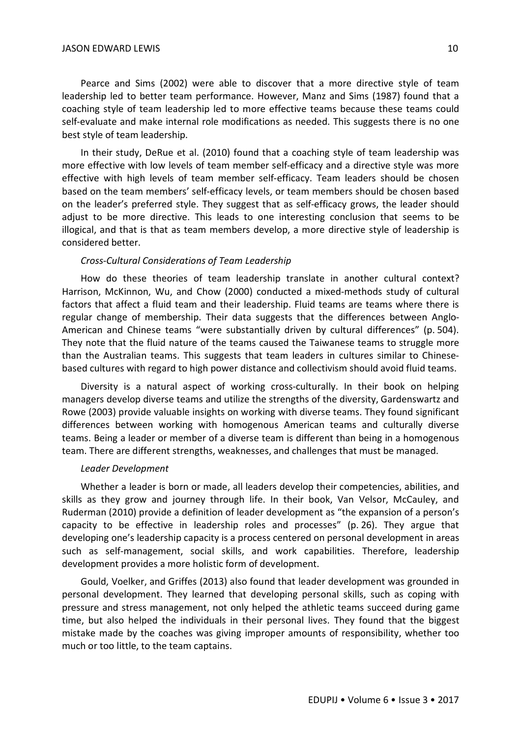Pearce and Sims (2002) were able to discover that a more directive style of team leadership led to better team performance. However, Manz and Sims (1987) found that a coaching style of team leadership led to more effective teams because these teams could self-evaluate and make internal role modifications as needed. This suggests there is no one best style of team leadership.

In their study, DeRue et al. (2010) found that a coaching style of team leadership was more effective with low levels of team member self-efficacy and a directive style was more effective with high levels of team member self-efficacy. Team leaders should be chosen based on the team members' self-efficacy levels, or team members should be chosen based on the leader's preferred style. They suggest that as self-efficacy grows, the leader should adjust to be more directive. This leads to one interesting conclusion that seems to be illogical, and that is that as team members develop, a more directive style of leadership is considered better.

#### *Cross-Cultural Considerations of Team Leadership*

How do these theories of team leadership translate in another cultural context? Harrison, McKinnon, Wu, and Chow (2000) conducted a mixed-methods study of cultural factors that affect a fluid team and their leadership. Fluid teams are teams where there is regular change of membership. Their data suggests that the differences between Anglo-American and Chinese teams "were substantially driven by cultural differences" (p. 504). They note that the fluid nature of the teams caused the Taiwanese teams to struggle more than the Australian teams. This suggests that team leaders in cultures similar to Chinesebased cultures with regard to high power distance and collectivism should avoid fluid teams.

Diversity is a natural aspect of working cross-culturally. In their book on helping managers develop diverse teams and utilize the strengths of the diversity, Gardenswartz and Rowe (2003) provide valuable insights on working with diverse teams. They found significant differences between working with homogenous American teams and culturally diverse teams. Being a leader or member of a diverse team is different than being in a homogenous team. There are different strengths, weaknesses, and challenges that must be managed.

#### *Leader Development*

Whether a leader is born or made, all leaders develop their competencies, abilities, and skills as they grow and journey through life. In their book, Van Velsor, McCauley, and Ruderman (2010) provide a definition of leader development as "the expansion of a person's capacity to be effective in leadership roles and processes" (p. 26). They argue that developing one's leadership capacity is a process centered on personal development in areas such as self-management, social skills, and work capabilities. Therefore, leadership development provides a more holistic form of development.

Gould, Voelker, and Griffes (2013) also found that leader development was grounded in personal development. They learned that developing personal skills, such as coping with pressure and stress management, not only helped the athletic teams succeed during game time, but also helped the individuals in their personal lives. They found that the biggest mistake made by the coaches was giving improper amounts of responsibility, whether too much or too little, to the team captains.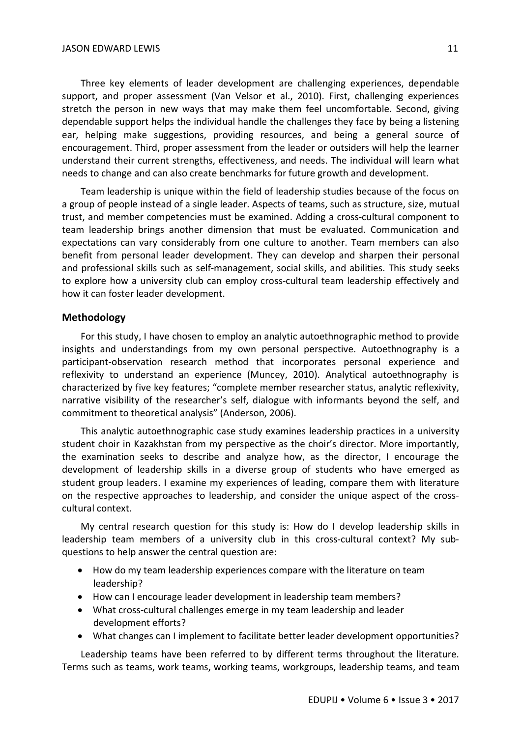Three key elements of leader development are challenging experiences, dependable support, and proper assessment (Van Velsor et al., 2010). First, challenging experiences stretch the person in new ways that may make them feel uncomfortable. Second, giving dependable support helps the individual handle the challenges they face by being a listening ear, helping make suggestions, providing resources, and being a general source of encouragement. Third, proper assessment from the leader or outsiders will help the learner understand their current strengths, effectiveness, and needs. The individual will learn what needs to change and can also create benchmarks for future growth and development.

Team leadership is unique within the field of leadership studies because of the focus on a group of people instead of a single leader. Aspects of teams, such as structure, size, mutual trust, and member competencies must be examined. Adding a cross-cultural component to team leadership brings another dimension that must be evaluated. Communication and expectations can vary considerably from one culture to another. Team members can also benefit from personal leader development. They can develop and sharpen their personal and professional skills such as self-management, social skills, and abilities. This study seeks to explore how a university club can employ cross-cultural team leadership effectively and how it can foster leader development.

## **Methodology**

For this study, I have chosen to employ an analytic autoethnographic method to provide insights and understandings from my own personal perspective. Autoethnography is a participant-observation research method that incorporates personal experience and reflexivity to understand an experience (Muncey, 2010). Analytical autoethnography is characterized by five key features; "complete member researcher status, analytic reflexivity, narrative visibility of the researcher's self, dialogue with informants beyond the self, and commitment to theoretical analysis" (Anderson, 2006).

This analytic autoethnographic case study examines leadership practices in a university student choir in Kazakhstan from my perspective as the choir's director. More importantly, the examination seeks to describe and analyze how, as the director, I encourage the development of leadership skills in a diverse group of students who have emerged as student group leaders. I examine my experiences of leading, compare them with literature on the respective approaches to leadership, and consider the unique aspect of the crosscultural context.

My central research question for this study is: How do I develop leadership skills in leadership team members of a university club in this cross-cultural context? My subquestions to help answer the central question are:

- How do my team leadership experiences compare with the literature on team leadership?
- How can I encourage leader development in leadership team members?
- What cross-cultural challenges emerge in my team leadership and leader development efforts?
- What changes can I implement to facilitate better leader development opportunities?

Leadership teams have been referred to by different terms throughout the literature. Terms such as teams, work teams, working teams, workgroups, leadership teams, and team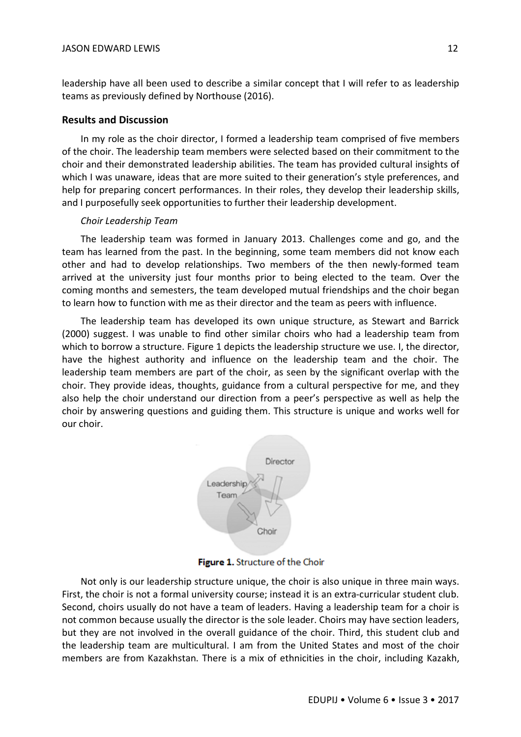leadership have all been used to describe a similar concept that I will refer to as leadership teams as previously defined by Northouse (2016).

## **Results and Discussion**

In my role as the choir director, I formed a leadership team comprised of five members of the choir. The leadership team members were selected based on their commitment to the choir and their demonstrated leadership abilities. The team has provided cultural insights of which I was unaware, ideas that are more suited to their generation's style preferences, and help for preparing concert performances. In their roles, they develop their leadership skills, and I purposefully seek opportunities to further their leadership development.

## *Choir Leadership Team*

The leadership team was formed in January 2013. Challenges come and go, and the team has learned from the past. In the beginning, some team members did not know each other and had to develop relationships. Two members of the then newly-formed team arrived at the university just four months prior to being elected to the team. Over the coming months and semesters, the team developed mutual friendships and the choir began to learn how to function with me as their director and the team as peers with influence.

The leadership team has developed its own unique structure, as Stewart and Barrick (2000) suggest. I was unable to find other similar choirs who had a leadership team from which to borrow a structure. Figure 1 depicts the leadership structure we use. I, the director, have the highest authority and influence on the leadership team and the choir. The leadership team members are part of the choir, as seen by the significant overlap with the choir. They provide ideas, thoughts, guidance from a cultural perspective for me, and they also help the choir understand our direction from a peer's perspective as well as help the choir by answering questions and guiding them. This structure is unique and works well for our choir.



Figure 1. Structure of the Choir

Not only is our leadership structure unique, the choir is also unique in three main ways. First, the choir is not a formal university course; instead it is an extra-curricular student club. Second, choirs usually do not have a team of leaders. Having a leadership team for a choir is not common because usually the director is the sole leader. Choirs may have section leaders, but they are not involved in the overall guidance of the choir. Third, this student club and the leadership team are multicultural. I am from the United States and most of the choir members are from Kazakhstan. There is a mix of ethnicities in the choir, including Kazakh,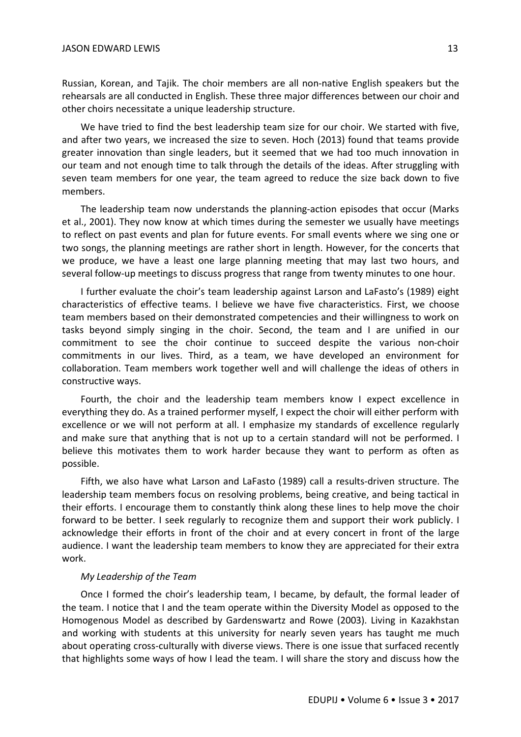Russian, Korean, and Tajik. The choir members are all non-native English speakers but the rehearsals are all conducted in English. These three major differences between our choir and other choirs necessitate a unique leadership structure.

We have tried to find the best leadership team size for our choir. We started with five, and after two years, we increased the size to seven. Hoch (2013) found that teams provide greater innovation than single leaders, but it seemed that we had too much innovation in our team and not enough time to talk through the details of the ideas. After struggling with seven team members for one year, the team agreed to reduce the size back down to five members.

The leadership team now understands the planning-action episodes that occur (Marks et al., 2001). They now know at which times during the semester we usually have meetings to reflect on past events and plan for future events. For small events where we sing one or two songs, the planning meetings are rather short in length. However, for the concerts that we produce, we have a least one large planning meeting that may last two hours, and several follow-up meetings to discuss progress that range from twenty minutes to one hour.

I further evaluate the choir's team leadership against Larson and LaFasto's (1989) eight characteristics of effective teams. I believe we have five characteristics. First, we choose team members based on their demonstrated competencies and their willingness to work on tasks beyond simply singing in the choir. Second, the team and I are unified in our commitment to see the choir continue to succeed despite the various non-choir commitments in our lives. Third, as a team, we have developed an environment for collaboration. Team members work together well and will challenge the ideas of others in constructive ways.

Fourth, the choir and the leadership team members know I expect excellence in everything they do. As a trained performer myself, I expect the choir will either perform with excellence or we will not perform at all. I emphasize my standards of excellence regularly and make sure that anything that is not up to a certain standard will not be performed. I believe this motivates them to work harder because they want to perform as often as possible.

Fifth, we also have what Larson and LaFasto (1989) call a results-driven structure. The leadership team members focus on resolving problems, being creative, and being tactical in their efforts. I encourage them to constantly think along these lines to help move the choir forward to be better. I seek regularly to recognize them and support their work publicly. I acknowledge their efforts in front of the choir and at every concert in front of the large audience. I want the leadership team members to know they are appreciated for their extra work.

#### *My Leadership of the Team*

Once I formed the choir's leadership team, I became, by default, the formal leader of the team. I notice that I and the team operate within the Diversity Model as opposed to the Homogenous Model as described by Gardenswartz and Rowe (2003). Living in Kazakhstan and working with students at this university for nearly seven years has taught me much about operating cross-culturally with diverse views. There is one issue that surfaced recently that highlights some ways of how I lead the team. I will share the story and discuss how the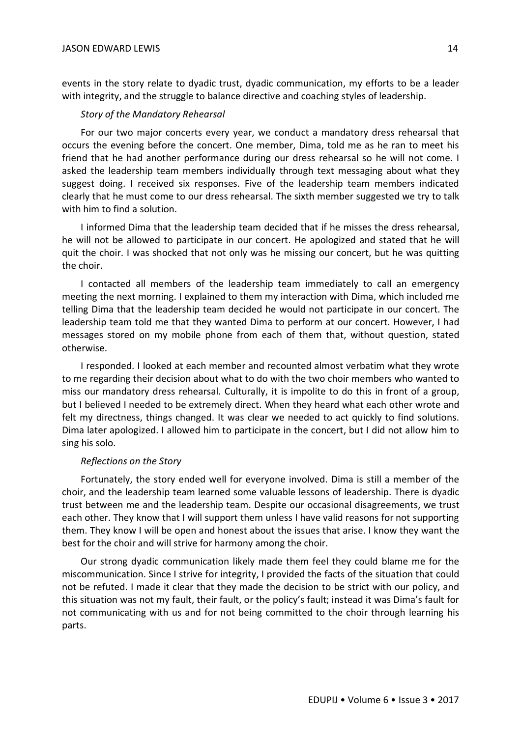events in the story relate to dyadic trust, dyadic communication, my efforts to be a leader with integrity, and the struggle to balance directive and coaching styles of leadership.

### *Story of the Mandatory Rehearsal*

For our two major concerts every year, we conduct a mandatory dress rehearsal that occurs the evening before the concert. One member, Dima, told me as he ran to meet his friend that he had another performance during our dress rehearsal so he will not come. I asked the leadership team members individually through text messaging about what they suggest doing. I received six responses. Five of the leadership team members indicated clearly that he must come to our dress rehearsal. The sixth member suggested we try to talk with him to find a solution.

I informed Dima that the leadership team decided that if he misses the dress rehearsal, he will not be allowed to participate in our concert. He apologized and stated that he will quit the choir. I was shocked that not only was he missing our concert, but he was quitting the choir.

I contacted all members of the leadership team immediately to call an emergency meeting the next morning. I explained to them my interaction with Dima, which included me telling Dima that the leadership team decided he would not participate in our concert. The leadership team told me that they wanted Dima to perform at our concert. However, I had messages stored on my mobile phone from each of them that, without question, stated otherwise.

I responded. I looked at each member and recounted almost verbatim what they wrote to me regarding their decision about what to do with the two choir members who wanted to miss our mandatory dress rehearsal. Culturally, it is impolite to do this in front of a group, but I believed I needed to be extremely direct. When they heard what each other wrote and felt my directness, things changed. It was clear we needed to act quickly to find solutions. Dima later apologized. I allowed him to participate in the concert, but I did not allow him to sing his solo.

#### *Reflections on the Story*

Fortunately, the story ended well for everyone involved. Dima is still a member of the choir, and the leadership team learned some valuable lessons of leadership. There is dyadic trust between me and the leadership team. Despite our occasional disagreements, we trust each other. They know that I will support them unless I have valid reasons for not supporting them. They know I will be open and honest about the issues that arise. I know they want the best for the choir and will strive for harmony among the choir.

Our strong dyadic communication likely made them feel they could blame me for the miscommunication. Since I strive for integrity, I provided the facts of the situation that could not be refuted. I made it clear that they made the decision to be strict with our policy, and this situation was not my fault, their fault, or the policy's fault; instead it was Dima's fault for not communicating with us and for not being committed to the choir through learning his parts.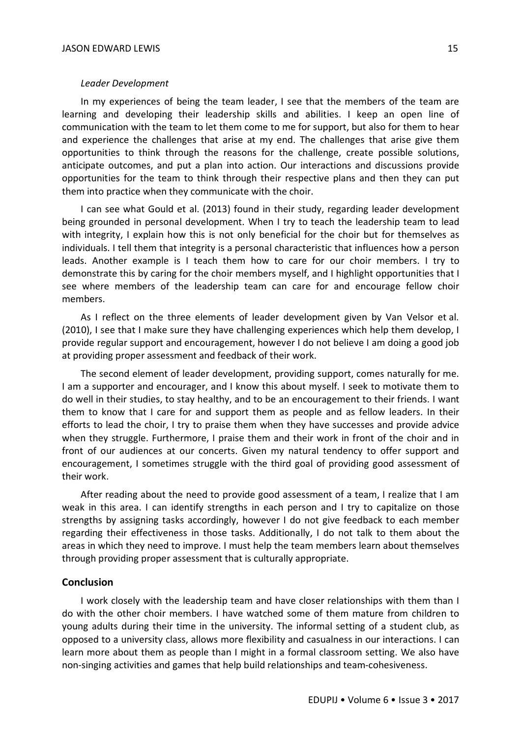#### *Leader Development*

In my experiences of being the team leader, I see that the members of the team are learning and developing their leadership skills and abilities. I keep an open line of communication with the team to let them come to me for support, but also for them to hear and experience the challenges that arise at my end. The challenges that arise give them opportunities to think through the reasons for the challenge, create possible solutions, anticipate outcomes, and put a plan into action. Our interactions and discussions provide opportunities for the team to think through their respective plans and then they can put them into practice when they communicate with the choir.

I can see what Gould et al. (2013) found in their study, regarding leader development being grounded in personal development. When I try to teach the leadership team to lead with integrity, I explain how this is not only beneficial for the choir but for themselves as individuals. I tell them that integrity is a personal characteristic that influences how a person leads. Another example is I teach them how to care for our choir members. I try to demonstrate this by caring for the choir members myself, and I highlight opportunities that I see where members of the leadership team can care for and encourage fellow choir members.

As I reflect on the three elements of leader development given by Van Velsor et al. (2010), I see that I make sure they have challenging experiences which help them develop, I provide regular support and encouragement, however I do not believe I am doing a good job at providing proper assessment and feedback of their work.

The second element of leader development, providing support, comes naturally for me. I am a supporter and encourager, and I know this about myself. I seek to motivate them to do well in their studies, to stay healthy, and to be an encouragement to their friends. I want them to know that I care for and support them as people and as fellow leaders. In their efforts to lead the choir, I try to praise them when they have successes and provide advice when they struggle. Furthermore, I praise them and their work in front of the choir and in front of our audiences at our concerts. Given my natural tendency to offer support and encouragement, I sometimes struggle with the third goal of providing good assessment of their work.

After reading about the need to provide good assessment of a team, I realize that I am weak in this area. I can identify strengths in each person and I try to capitalize on those strengths by assigning tasks accordingly, however I do not give feedback to each member regarding their effectiveness in those tasks. Additionally, I do not talk to them about the areas in which they need to improve. I must help the team members learn about themselves through providing proper assessment that is culturally appropriate.

## **Conclusion**

I work closely with the leadership team and have closer relationships with them than I do with the other choir members. I have watched some of them mature from children to young adults during their time in the university. The informal setting of a student club, as opposed to a university class, allows more flexibility and casualness in our interactions. I can learn more about them as people than I might in a formal classroom setting. We also have non-singing activities and games that help build relationships and team-cohesiveness.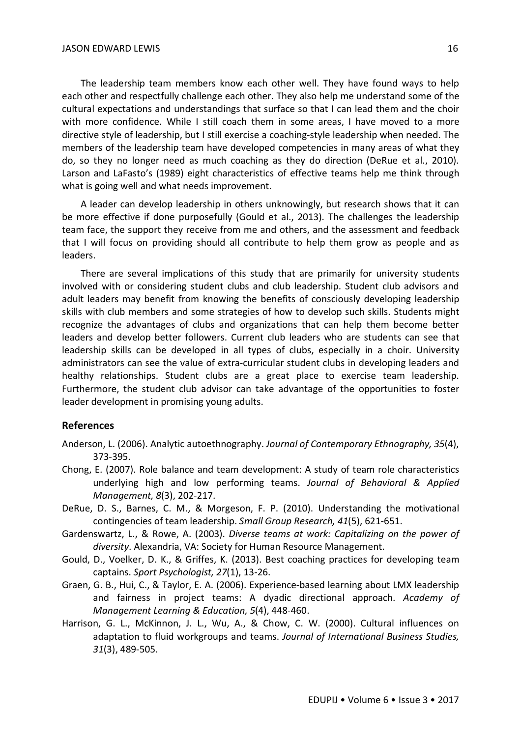The leadership team members know each other well. They have found ways to help each other and respectfully challenge each other. They also help me understand some of the cultural expectations and understandings that surface so that I can lead them and the choir with more confidence. While I still coach them in some areas, I have moved to a more directive style of leadership, but I still exercise a coaching-style leadership when needed. The members of the leadership team have developed competencies in many areas of what they do, so they no longer need as much coaching as they do direction (DeRue et al., 2010). Larson and LaFasto's (1989) eight characteristics of effective teams help me think through what is going well and what needs improvement.

A leader can develop leadership in others unknowingly, but research shows that it can be more effective if done purposefully (Gould et al., 2013). The challenges the leadership team face, the support they receive from me and others, and the assessment and feedback that I will focus on providing should all contribute to help them grow as people and as leaders.

There are several implications of this study that are primarily for university students involved with or considering student clubs and club leadership. Student club advisors and adult leaders may benefit from knowing the benefits of consciously developing leadership skills with club members and some strategies of how to develop such skills. Students might recognize the advantages of clubs and organizations that can help them become better leaders and develop better followers. Current club leaders who are students can see that leadership skills can be developed in all types of clubs, especially in a choir. University administrators can see the value of extra-curricular student clubs in developing leaders and healthy relationships. Student clubs are a great place to exercise team leadership. Furthermore, the student club advisor can take advantage of the opportunities to foster leader development in promising young adults.

## **References**

- Anderson, L. (2006). Analytic autoethnography. *Journal of Contemporary Ethnography, 35*(4), 373-395.
- Chong, E. (2007). Role balance and team development: A study of team role characteristics underlying high and low performing teams. *Journal of Behavioral & Applied Management, 8*(3), 202-217.
- DeRue, D. S., Barnes, C. M., & Morgeson, F. P. (2010). Understanding the motivational contingencies of team leadership. *Small Group Research, 41*(5), 621-651.
- Gardenswartz, L., & Rowe, A. (2003). *Diverse teams at work: Capitalizing on the power of diversity*. Alexandria, VA: Society for Human Resource Management.
- Gould, D., Voelker, D. K., & Griffes, K. (2013). Best coaching practices for developing team captains. *Sport Psychologist, 27*(1), 13-26.
- Graen, G. B., Hui, C., & Taylor, E. A. (2006). Experience-based learning about LMX leadership and fairness in project teams: A dyadic directional approach. *Academy of Management Learning & Education, 5*(4), 448-460.
- Harrison, G. L., McKinnon, J. L., Wu, A., & Chow, C. W. (2000). Cultural influences on adaptation to fluid workgroups and teams. *Journal of International Business Studies, 31*(3), 489-505.